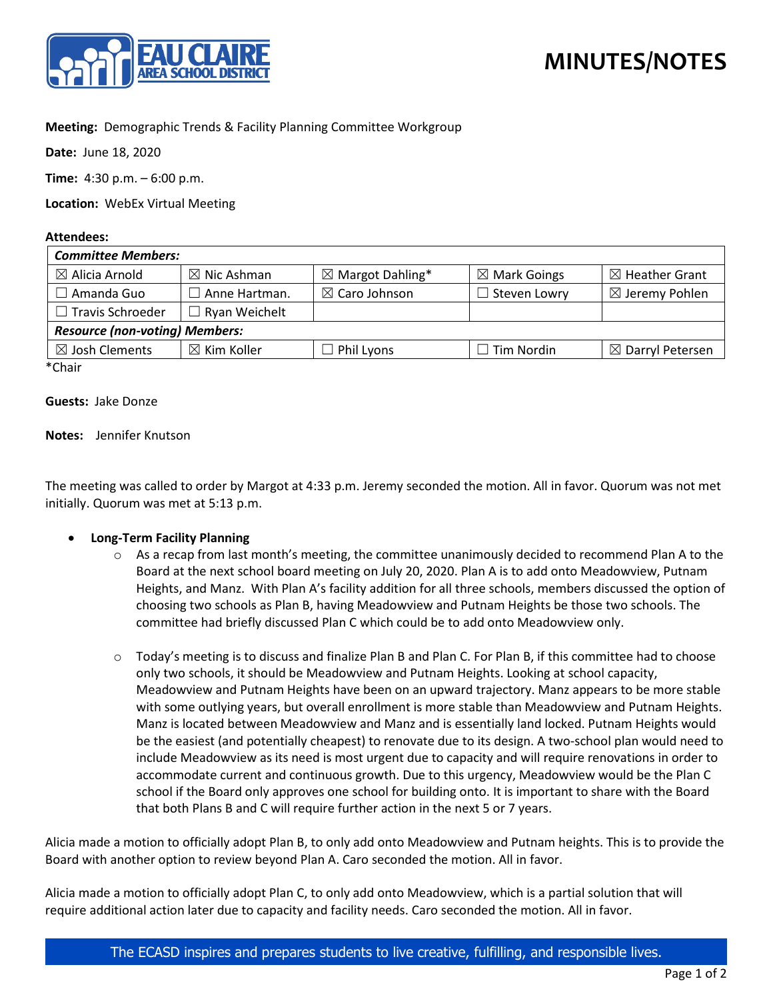

# **MINUTES/NOTES**

## **Meeting:** Demographic Trends & Facility Planning Committee Workgroup

**Date:** June 18, 2020

**Time:** 4:30 p.m. – 6:00 p.m.

**Location:** WebEx Virtual Meeting

#### **Attendees:**

| <b>Committee Members:</b>             |                        |                             |                         |                             |
|---------------------------------------|------------------------|-----------------------------|-------------------------|-----------------------------|
| $\boxtimes$ Alicia Arnold             | $\boxtimes$ Nic Ashman | $\boxtimes$ Margot Dahling* | $\boxtimes$ Mark Goings | $\boxtimes$ Heather Grant   |
| Amanda Guo                            | $\Box$ Anne Hartman.   | $\boxtimes$ Caro Johnson    | $\Box$ Steven Lowry     | $\boxtimes$ Jeremy Pohlen   |
| $\Box$ Travis Schroeder               | $\Box$ Ryan Weichelt   |                             |                         |                             |
| <b>Resource (non-voting) Members:</b> |                        |                             |                         |                             |
| $\boxtimes$ Josh Clements             | $\boxtimes$ Kim Koller | $\Box$ Phil Lyons           | $\Box$ Tim Nordin       | $\boxtimes$ Darryl Petersen |
| $*Chair$                              |                        |                             |                         |                             |

Chair

#### **Guests:** Jake Donze

#### **Notes:** Jennifer Knutson

The meeting was called to order by Margot at 4:33 p.m. Jeremy seconded the motion. All in favor. Quorum was not met initially. Quorum was met at 5:13 p.m.

### • **Long-Term Facility Planning**

- $\circ$  As a recap from last month's meeting, the committee unanimously decided to recommend Plan A to the Board at the next school board meeting on July 20, 2020. Plan A is to add onto Meadowview, Putnam Heights, and Manz. With Plan A's facility addition for all three schools, members discussed the option of choosing two schools as Plan B, having Meadowview and Putnam Heights be those two schools. The committee had briefly discussed Plan C which could be to add onto Meadowview only.
- $\circ$  Today's meeting is to discuss and finalize Plan B and Plan C. For Plan B, if this committee had to choose only two schools, it should be Meadowview and Putnam Heights. Looking at school capacity, Meadowview and Putnam Heights have been on an upward trajectory. Manz appears to be more stable with some outlying years, but overall enrollment is more stable than Meadowview and Putnam Heights. Manz is located between Meadowview and Manz and is essentially land locked. Putnam Heights would be the easiest (and potentially cheapest) to renovate due to its design. A two-school plan would need to include Meadowview as its need is most urgent due to capacity and will require renovations in order to accommodate current and continuous growth. Due to this urgency, Meadowview would be the Plan C school if the Board only approves one school for building onto. It is important to share with the Board that both Plans B and C will require further action in the next 5 or 7 years.

Alicia made a motion to officially adopt Plan B, to only add onto Meadowview and Putnam heights. This is to provide the Board with another option to review beyond Plan A. Caro seconded the motion. All in favor.

Alicia made a motion to officially adopt Plan C, to only add onto Meadowview, which is a partial solution that will require additional action later due to capacity and facility needs. Caro seconded the motion. All in favor.